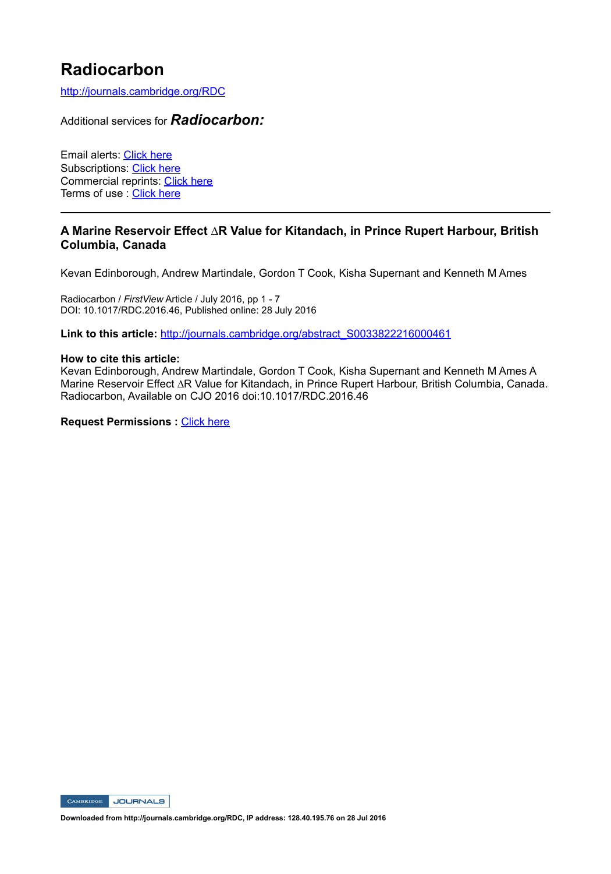# **Radiocarbon**

http://journals.cambridge.org/RDC

# Additional services for *Radiocarbon:*

Email alerts: Click here Subscriptions: Click here Commercial reprints: Click here Terms of use : Click here

# **A Marine Reservoir Effect ∆R Value for Kitandach, in Prince Rupert Harbour, British Columbia, Canada**

Kevan Edinborough, Andrew Martindale, Gordon T Cook, Kisha Supernant and Kenneth M Ames

Radiocarbon / *FirstView* Article / July 2016, pp 1 - 7 DOI: 10.1017/RDC.2016.46, Published online: 28 July 2016

Link to this article: http://journals.cambridge.org/abstract\_S0033822216000461

#### **How to cite this article:**

Kevan Edinborough, Andrew Martindale, Gordon T Cook, Kisha Supernant and Kenneth M Ames A Marine Reservoir Effect ∆R Value for Kitandach, in Prince Rupert Harbour, British Columbia, Canada. Radiocarbon, Available on CJO 2016 doi:10.1017/RDC.2016.46

**Request Permissions :** Click here

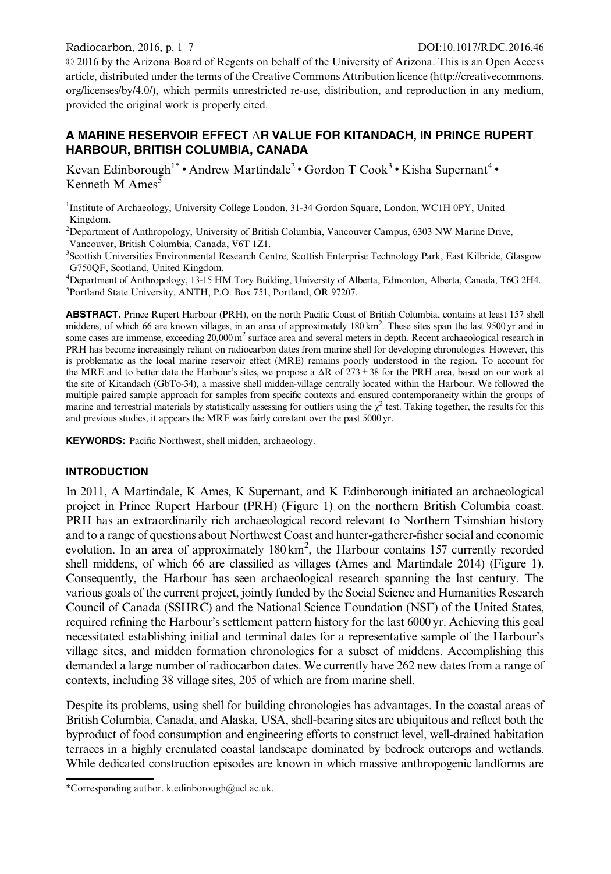© 2016 by the Arizona Board of Regents on behalf of the University of Arizona. This is an Open Access article, distributed under the terms of the Creative Commons Attribution licence (http://creativecommons. org/licenses/by/4.0/), which permits unrestricted re-use, distribution, and reproduction in any medium, provided the original work is properly cited.

## A MARINE RESERVOIR EFFECT ΔR VALUE FOR KITANDACH, IN PRINCE RUPERT HARBOUR, BRITISH COLUMBIA, CANADA

Kevan Edinborough<sup>1\*</sup> • Andrew Martindale<sup>2</sup> • Gordon T Cook<sup>3</sup> • Kisha Supernant<sup>4</sup> • Kenneth M Ames $\bar{s}$ 

<sup>1</sup>Institute of Archaeology, University College London, 31-34 Gordon Square, London, WC1H 0PY, United Kingdom.

<sup>2</sup> Department of Anthropology, University of British Columbia, Vancouver Campus, 6303 NW Marine Drive, Vancouver, British Columbia, Canada, V6T 1Z1.

3 Scottish Universities Environmental Research Centre, Scottish Enterprise Technology Park, East Kilbride, Glasgow G750QF, Scotland, United Kingdom.

<sup>4</sup>Department of Anthropology, 13-15 HM Tory Building, University of Alberta, Edmonton, Alberta, Canada, T6G 2H4. <sup>5</sup>Portland State University, ANTH, P.O. Box 751, Portland, OR 97207.

ABSTRACT. Prince Rupert Harbour (PRH), on the north Pacific Coast of British Columbia, contains at least 157 shell middens, of which 66 are known villages, in an area of approximately 180 km<sup>2</sup>. These sites span the last 9500 yr and in some cases are immense, exceeding  $20,000 \text{ m}^2$  surface area and several meters in depth. Recent archaeological research in PRH has become increasingly reliant on radiocarbon dates from marine shell for developing chronologies. However, this is problematic as the local marine reservoir effect (MRE) remains poorly understood in the region. To account for the MRE and to better date the Harbour's sites, we propose a  $\Delta R$  of 273 ± 38 for the PRH area, based on our work at the site of Kitandach (GbTo-34), a massive shell midden-village centrally located within the Harbour. We followed the multiple paired sample approach for samples from specific contexts and ensured contemporaneity within the groups of marine and terrestrial materials by statistically assessing for outliers using the  $\chi^2$  test. Taking together, the results for this and previous studies, it appears the MRE was fairly constant over the past 5000 yr.

KEYWORDS: Pacific Northwest, shell midden, archaeology.

#### **INTRODUCTION**

In 2011, A Martindale, K Ames, K Supernant, and K Edinborough initiated an archaeological project in Prince Rupert Harbour (PRH) ([Figure 1](#page-2-0)) on the northern British Columbia coast. PRH has an extraordinarily rich archaeological record relevant to Northern Tsimshian history and to a range of questions about Northwest Coast and hunter-gatherer-fisher social and economic evolution. In an area of approximately 180 km<sup>2</sup>, the Harbour contains 157 currently recorded shell middens, of which 66 are classified as villages (Ames and Martindale [2014\)](#page-7-0) [\(Figure 1](#page-2-0)). Consequently, the Harbour has seen archaeological research spanning the last century. The various goals of the current project, jointly funded by the Social Science and Humanities Research Council of Canada (SSHRC) and the National Science Foundation (NSF) of the United States, required refining the Harbour's settlement pattern history for the last 6000 yr. Achieving this goal necessitated establishing initial and terminal dates for a representative sample of the Harbour's village sites, and midden formation chronologies for a subset of middens. Accomplishing this demanded a large number of radiocarbon dates. We currently have 262 new dates from a range of contexts, including 38 village sites, 205 of which are from marine shell.

Despite its problems, using shell for building chronologies has advantages. In the coastal areas of British Columbia, Canada, and Alaska, USA, shell-bearing sites are ubiquitous and reflect both the byproduct of food consumption and engineering efforts to construct level, well-drained habitation terraces in a highly crenulated coastal landscape dominated by bedrock outcrops and wetlands. While dedicated construction episodes are known in which massive anthropogenic landforms are

<sup>\*</sup>Corresponding author. k.edinborough@ucl.ac.uk.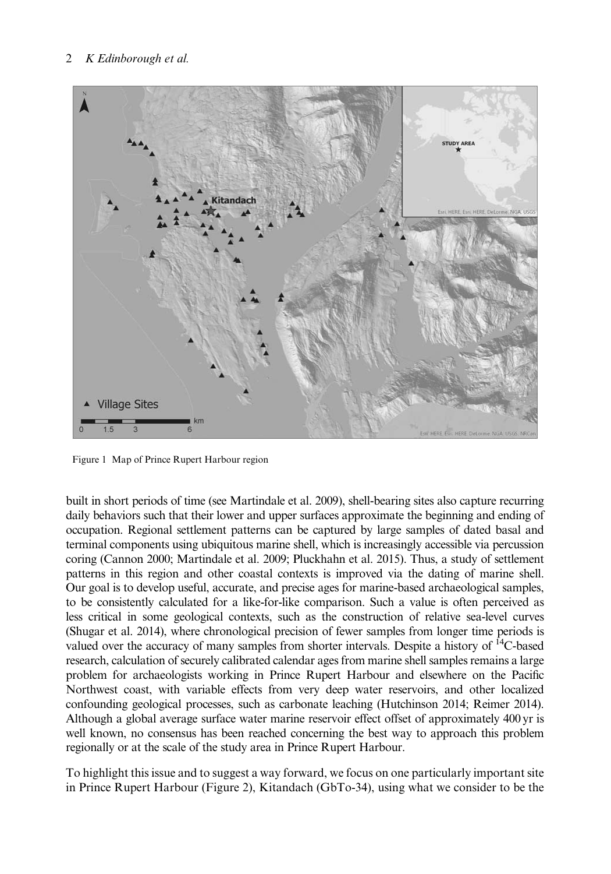<span id="page-2-0"></span>

Figure 1 Map of Prince Rupert Harbour region

built in short periods of time (see Martindale et al. [2009](#page-7-0)), shell-bearing sites also capture recurring daily behaviors such that their lower and upper surfaces approximate the beginning and ending of occupation. Regional settlement patterns can be captured by large samples of dated basal and terminal components using ubiquitous marine shell, which is increasingly accessible via percussion coring (Cannon [2000](#page-7-0); Martindale et al. [2009](#page-7-0); Pluckhahn et al. [2015\)](#page-7-0). Thus, a study of settlement patterns in this region and other coastal contexts is improved via the dating of marine shell. Our goal is to develop useful, accurate, and precise ages for marine-based archaeological samples, to be consistently calculated for a like-for-like comparison. Such a value is often perceived as less critical in some geological contexts, such as the construction of relative sea-level curves (Shugar et al. [2014](#page-7-0)), where chronological precision of fewer samples from longer time periods is valued over the accuracy of many samples from shorter intervals. Despite a history of 14C-based research, calculation of securely calibrated calendar ages from marine shell samples remains a large problem for archaeologists working in Prince Rupert Harbour and elsewhere on the Pacific Northwest coast, with variable effects from very deep water reservoirs, and other localized confounding geological processes, such as carbonate leaching (Hutchinson [2014](#page-7-0); Reimer [2014](#page-7-0)). Although a global average surface water marine reservoir effect offset of approximately 400 yr is well known, no consensus has been reached concerning the best way to approach this problem regionally or at the scale of the study area in Prince Rupert Harbour.

To highlight this issue and to suggest a way forward, we focus on one particularly important site in Prince Rupert Harbour ([Figure 2](#page-3-0)), Kitandach (GbTo-34), using what we consider to be the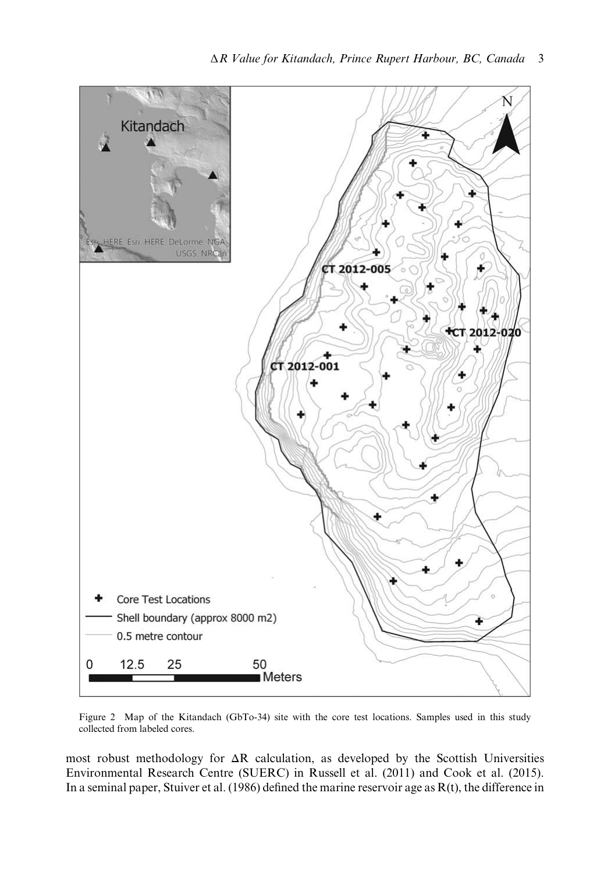<span id="page-3-0"></span>

Figure 2 Map of the Kitandach (GbTo-34) site with the core test locations. Samples used in this study collected from labeled cores.

most robust methodology for  $\Delta R$  calculation, as developed by the Scottish Universities Environmental Research Centre (SUERC) in Russell et al. ([2011\)](#page-7-0) and Cook et al. ([2015\)](#page-7-0). In a seminal paper, Stuiver et al. ([1986\)](#page-7-0) defined the marine reservoir age as R(t), the difference in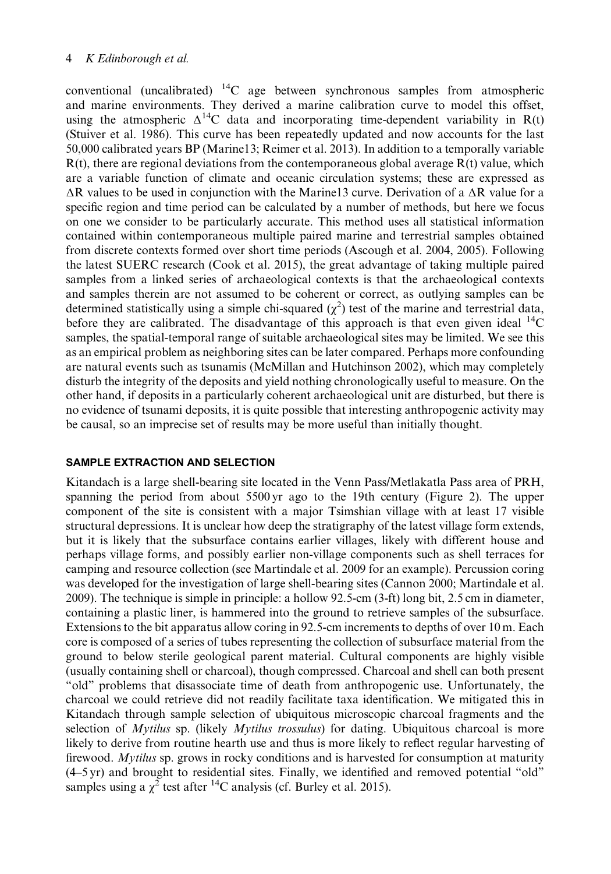## 4 K Edinborough et al.

conventional (uncalibrated)  $^{14}$ C age between synchronous samples from atmospheric and marine environments. They derived a marine calibration curve to model this offset, using the atmospheric  $\Delta^{14}C$  data and incorporating time-dependent variability in R(t) (Stuiver et al. [1986](#page-7-0)). This curve has been repeatedly updated and now accounts for the last 50,000 calibrated years BP (Marine13; Reimer et al. [2013\)](#page-7-0). In addition to a temporally variable  $R(t)$ , there are regional deviations from the contemporaneous global average  $R(t)$  value, which are a variable function of climate and oceanic circulation systems; these are expressed as ΔR values to be used in conjunction with the Marine13 curve. Derivation of a ΔR value for a specific region and time period can be calculated by a number of methods, but here we focus on one we consider to be particularly accurate. This method uses all statistical information contained within contemporaneous multiple paired marine and terrestrial samples obtained from discrete contexts formed over short time periods (Ascough et al. [2004](#page-7-0), [2005\)](#page-7-0). Following the latest SUERC research (Cook et al. [2015](#page-7-0)), the great advantage of taking multiple paired samples from a linked series of archaeological contexts is that the archaeological contexts and samples therein are not assumed to be coherent or correct, as outlying samples can be determined statistically using a simple chi-squared  $(\chi^2)$  test of the marine and terrestrial data, before they are calibrated. The disadvantage of this approach is that even given ideal  $^{14}$ C samples, the spatial-temporal range of suitable archaeological sites may be limited. We see this as an empirical problem as neighboring sites can be later compared. Perhaps more confounding are natural events such as tsunamis (McMillan and Hutchinson [2002](#page-7-0)), which may completely disturb the integrity of the deposits and yield nothing chronologically useful to measure. On the other hand, if deposits in a particularly coherent archaeological unit are disturbed, but there is no evidence of tsunami deposits, it is quite possible that interesting anthropogenic activity may be causal, so an imprecise set of results may be more useful than initially thought.

## SAMPLE EXTRACTION AND SELECTION

Kitandach is a large shell-bearing site located in the Venn Pass/Metlakatla Pass area of PRH, spanning the period from about 5500 yr ago to the 19th century [\(Figure 2\)](#page-3-0). The upper component of the site is consistent with a major Tsimshian village with at least 17 visible structural depressions. It is unclear how deep the stratigraphy of the latest village form extends, but it is likely that the subsurface contains earlier villages, likely with different house and perhaps village forms, and possibly earlier non-village components such as shell terraces for camping and resource collection (see Martindale et al. [2009](#page-7-0) for an example). Percussion coring was developed for the investigation of large shell-bearing sites (Cannon [2000;](#page-7-0) Martindale et al. [2009](#page-7-0)). The technique is simple in principle: a hollow 92.5-cm (3-ft) long bit, 2.5 cm in diameter, containing a plastic liner, is hammered into the ground to retrieve samples of the subsurface. Extensions to the bit apparatus allow coring in 92.5-cm increments to depths of over 10 m. Each core is composed of a series of tubes representing the collection of subsurface material from the ground to below sterile geological parent material. Cultural components are highly visible (usually containing shell or charcoal), though compressed. Charcoal and shell can both present "old" problems that disassociate time of death from anthropogenic use. Unfortunately, the charcoal we could retrieve did not readily facilitate taxa identification. We mitigated this in Kitandach through sample selection of ubiquitous microscopic charcoal fragments and the selection of Mytilus sp. (likely Mytilus trossulus) for dating. Ubiquitous charcoal is more likely to derive from routine hearth use and thus is more likely to reflect regular harvesting of firewood. Mytilus sp. grows in rocky conditions and is harvested for consumption at maturity (4–5 yr) and brought to residential sites. Finally, we identified and removed potential "old" samples using a  $\chi^2$  test after <sup>14</sup>C analysis (cf. Burley et al. [2015](#page-7-0)).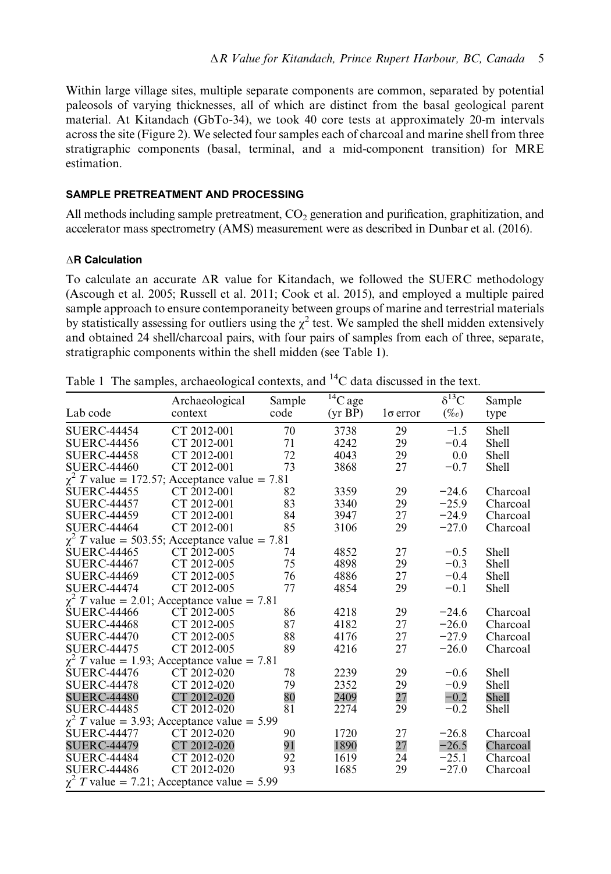<span id="page-5-0"></span>Within large village sites, multiple separate components are common, separated by potential paleosols of varying thicknesses, all of which are distinct from the basal geological parent material. At Kitandach (GbTo-34), we took 40 core tests at approximately 20-m intervals across the site ([Figure 2](#page-3-0)). We selected four samples each of charcoal and marine shell from three stratigraphic components (basal, terminal, and a mid-component transition) for MRE estimation.

## SAMPLE PRETREATMENT AND PROCESSING

All methods including sample pretreatment,  $CO<sub>2</sub>$  generation and purification, graphitization, and accelerator mass spectrometry (AMS) measurement were as described in Dunbar et al. [\(2016\)](#page-7-0).

## ΔR Calculation

To calculate an accurate  $\Delta R$  value for Kitandach, we followed the SUERC methodology (Ascough et al. [2005](#page-7-0); Russell et al. [2011](#page-7-0); Cook et al. [2015\)](#page-7-0), and employed a multiple paired sample approach to ensure contemporaneity between groups of marine and terrestrial materials by statistically assessing for outliers using the  $\chi^2$  test. We sampled the shell midden extensively and obtained 24 shell/charcoal pairs, with four pairs of samples from each of three, separate, stratigraphic components within the shell midden (see Table 1).

|                                                    | Archaeological | Sample | ${}^{14}C$ age |                 | $\delta^{13}C$ | Sample       |
|----------------------------------------------------|----------------|--------|----------------|-----------------|----------------|--------------|
| Lab code                                           | context        | code   | (yr BP)        | $1\sigma$ error | $(\%o)$        | type         |
| <b>SUERC-44454</b>                                 | CT 2012-001    | 70     | 3738           | 29              | $-1.5$         | Shell        |
| <b>SUERC-44456</b>                                 | CT 2012-001    | 71     | 4242           | 29              | $-0.4$         | Shell        |
| <b>SUERC-44458</b>                                 | CT 2012-001    | 72     | 4043           | 29              | 0.0            | Shell        |
| <b>SUERC-44460</b>                                 | CT 2012-001    | 73     | 3868           | 27              | $-0.7$         | <b>Shell</b> |
| $\chi^2$ T value = 172.57; Acceptance value = 7.81 |                |        |                |                 |                |              |
| <b>SUERC-44455</b>                                 | CT 2012-001    | 82     | 3359           | 29              | $-24.6$        | Charcoal     |
| <b>SUERC-44457</b>                                 | CT 2012-001    | 83     | 3340           | 29              | $-25.9$        | Charcoal     |
| <b>SUERC-44459</b>                                 | CT 2012-001    | 84     | 3947           | 27              | $-24.9$        | Charcoal     |
| <b>SUERC-44464</b>                                 | CT 2012-001    | 85     | 3106           | 29              | $-27.0$        | Charcoal     |
| $\chi^2$ T value = 503.55; Acceptance value = 7.81 |                |        |                |                 |                |              |
| <b>SUERC-44465</b>                                 | CT 2012-005    | 74     | 4852           | 27              | $-0.5$         | Shell        |
| <b>SUERC-44467</b>                                 | CT 2012-005    | 75     | 4898           | 29              | $-0.3$         | Shell        |
| <b>SUERC-44469</b>                                 | CT 2012-005    | 76     | 4886           | 27              | $-0.4$         | Shell        |
| <b>SUERC-44474</b>                                 | CT 2012-005    | 77     | 4854           | 29              | $-0.1$         | <b>Shell</b> |
| $\chi^2$ T value = 2.01; Acceptance value = 7.81   |                |        |                |                 |                |              |
| <b>SUERC-44466</b>                                 | CT 2012-005    | 86     | 4218           | 29              | $-24.6$        | Charcoal     |
| <b>SUERC-44468</b>                                 | CT 2012-005    | 87     | 4182           | 27              | $-26.0$        | Charcoal     |
| <b>SUERC-44470</b>                                 | CT 2012-005    | 88     | 4176           | 27              | $-27.9$        | Charcoal     |
| <b>SUERC-44475</b>                                 | CT 2012-005    | 89     | 4216           | 27              | $-26.0$        | Charcoal     |
| $\chi^2$ T value = 1.93; Acceptance value = 7.81   |                |        |                |                 |                |              |
| <b>SUERC-44476</b>                                 | CT 2012-020    | 78     | 2239           | 29              | $-0.6$         | <b>Shell</b> |
| <b>SUERC-44478</b>                                 | CT 2012-020    | 79     | 2352           | 29              | $-0.9$         | <b>Shell</b> |
| <b>SUERC-44480</b>                                 | CT 2012-020    | 80     | 2409           | 27              | $-0.2$         | Shell        |
| <b>SUERC-44485</b>                                 | CT 2012-020    | 81     | 2274           | 29              | $-0.2$         | Shell        |
| $\chi^2$ T value = 3.93; Acceptance value = 5.99   |                |        |                |                 |                |              |
| <b>SUERC-44477</b>                                 | CT 2012-020    | 90     | 1720           | 27              | $-26.8$        | Charcoal     |
| <b>SUERC-44479</b>                                 | CT 2012-020    | 91     | 1890           | 27              | $-26.5$        | Charcoal     |
| <b>SUERC-44484</b>                                 | CT 2012-020    | 92     | 1619           | 24              | $-25.1$        | Charcoal     |
| <b>SUERC-44486</b>                                 | CT 2012-020    | 93     | 1685           | 29              | $-27.0$        | Charcoal     |
| $\chi^2$ T value = 7.21; Acceptance value = 5.99   |                |        |                |                 |                |              |

Table 1 The samples, archaeological contexts, and  $^{14}$ C data discussed in the text.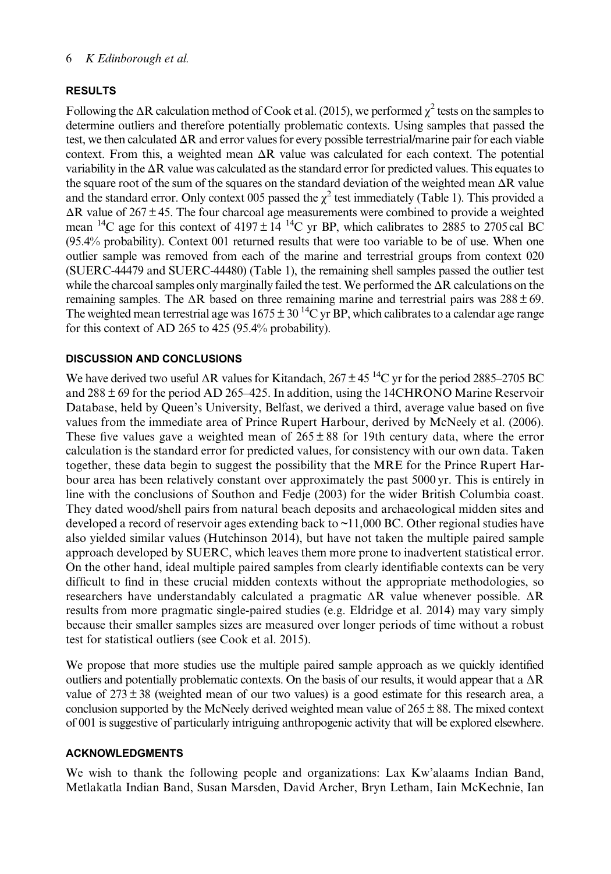## 6 K Edinborough et al.

## RESULTS

Following the  $\Delta R$  calculation method of Cook et al. [\(2015](#page-7-0)), we performed  $\chi^2$  tests on the samples to determine outliers and therefore potentially problematic contexts. Using samples that passed the test, we then calculated ΔR and error values for every possible terrestrial/marine pair for each viable context. From this, a weighted mean  $\Delta R$  value was calculated for each context. The potential variability in the  $\Delta R$  value was calculated as the standard error for predicted values. This equates to the square root of the sum of the squares on the standard deviation of the weighted mean  $\Delta R$  value and the standard error. Only context 005 passed the  $\chi^2$  test immediately [\(Table 1](#page-5-0)). This provided a  $\Delta R$  value of 267 ± 45. The four charcoal age measurements were combined to provide a weighted mean <sup>14</sup>C age for this context of 4197  $\pm$  14<sup>-14</sup>C yr BP, which calibrates to 2885 to 2705 cal BC (95.4% probability). Context 001 returned results that were too variable to be of use. When one outlier sample was removed from each of the marine and terrestrial groups from context 020 (SUERC-44479 and SUERC-44480) [\(Table 1\)](#page-5-0), the remaining shell samples passed the outlier test while the charcoal samples only marginally failed the test. We performed the  $\Delta R$  calculations on the remaining samples. The  $\Delta R$  based on three remaining marine and terrestrial pairs was  $288 \pm 69$ . The weighted mean terrestrial age was  $1675 \pm 30^{14}$ C yr BP, which calibrates to a calendar age range for this context of AD 265 to 425 (95.4% probability).

# DISCUSSION AND CONCLUSIONS

We have derived two useful  $\Delta R$  values for Kitandach,  $267 \pm 45^{14}$ C yr for the period 2885–2705 BC and 288 ± 69 for the period AD 265–425. In addition, using the 14CHRONO Marine Reservoir Database, held by Queen's University, Belfast, we derived a third, average value based on five values from the immediate area of Prince Rupert Harbour, derived by McNeely et al. ([2006\)](#page-7-0). These five values gave a weighted mean of  $265 \pm 88$  for 19th century data, where the error calculation is the standard error for predicted values, for consistency with our own data. Taken together, these data begin to suggest the possibility that the MRE for the Prince Rupert Harbour area has been relatively constant over approximately the past 5000 yr. This is entirely in line with the conclusions of Southon and Fedje ([2003\)](#page-7-0) for the wider British Columbia coast. They dated wood/shell pairs from natural beach deposits and archaeological midden sites and developed a record of reservoir ages extending back to  $\sim$ 11,000 BC. Other regional studies have also yielded similar values (Hutchinson [2014\)](#page-7-0), but have not taken the multiple paired sample approach developed by SUERC, which leaves them more prone to inadvertent statistical error. On the other hand, ideal multiple paired samples from clearly identifiable contexts can be very difficult to find in these crucial midden contexts without the appropriate methodologies, so researchers have understandably calculated a pragmatic ΔR value whenever possible. ΔR results from more pragmatic single-paired studies (e.g. Eldridge et al. 2014) may vary simply because their smaller samples sizes are measured over longer periods of time without a robust test for statistical outliers (see Cook et al. [2015\)](#page-7-0).

We propose that more studies use the multiple paired sample approach as we quickly identified outliers and potentially problematic contexts. On the basis of our results, it would appear that a  $\Delta R$ value of  $273 \pm 38$  (weighted mean of our two values) is a good estimate for this research area, a conclusion supported by the McNeely derived weighted mean value of  $265 \pm 88$ . The mixed context of 001 is suggestive of particularly intriguing anthropogenic activity that will be explored elsewhere.

## ACKNOWLEDGMENTS

We wish to thank the following people and organizations: Lax Kw'alaams Indian Band, Metlakatla Indian Band, Susan Marsden, David Archer, Bryn Letham, Iain McKechnie, Ian